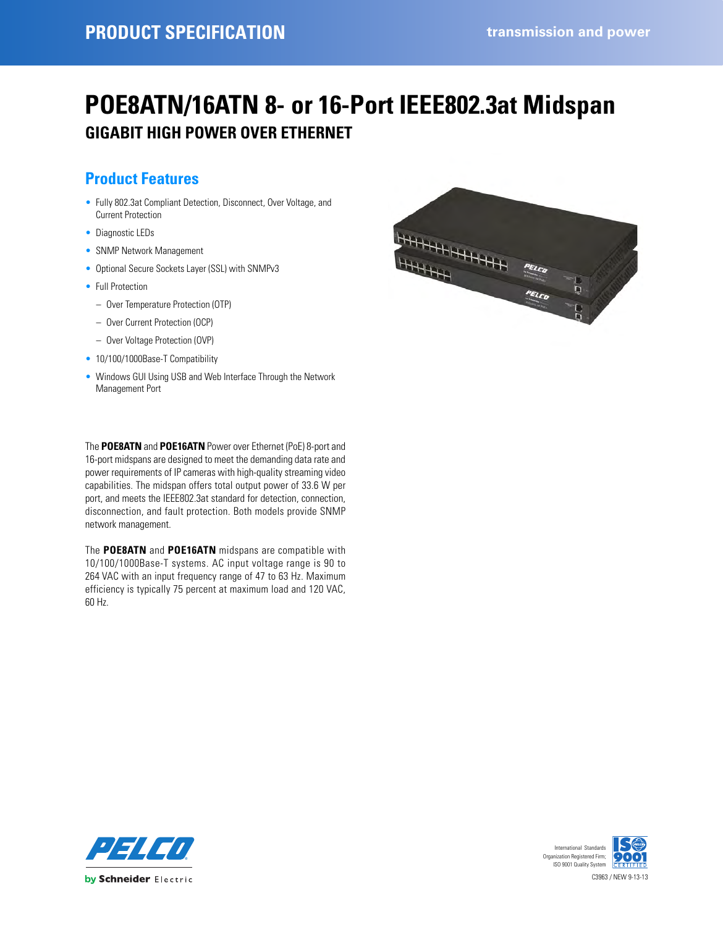# **POE8ATN/16ATN 8- or 16-Port IEEE802.3at Midspan GIGABIT HIGH POWER OVER ETHERNET**

### **Product Features**

- Fully 802.3at Compliant Detection, Disconnect, Over Voltage, and Current Protection
- Diagnostic LEDs
- SNMP Network Management
- Optional Secure Sockets Layer (SSL) with SNMPv3
- Full Protection
- Over Temperature Protection (OTP)
- Over Current Protection (OCP)
- Over Voltage Protection (OVP)
- 10/100/1000Base-T Compatibility
- Windows GUI Using USB and Web Interface Through the Network Management Port

The **POE8ATN** and **POE16ATN** Power over Ethernet (PoE) 8-port and 16-port midspans are designed to meet the demanding data rate and power requirements of IP cameras with high-quality streaming video capabilities. The midspan offers total output power of 33.6 W per port, and meets the IEEE802.3at standard for detection, connection, disconnection, and fault protection. Both models provide SNMP network management.

The **POE8ATN** and **POE16ATN** midspans are compatible with 10/100/1000Base-T systems. AC input voltage range is 90 to 264 VAC with an input frequency range of 47 to 63 Hz. Maximum efficiency is typically 75 percent at maximum load and 120 VAC, 60 Hz.